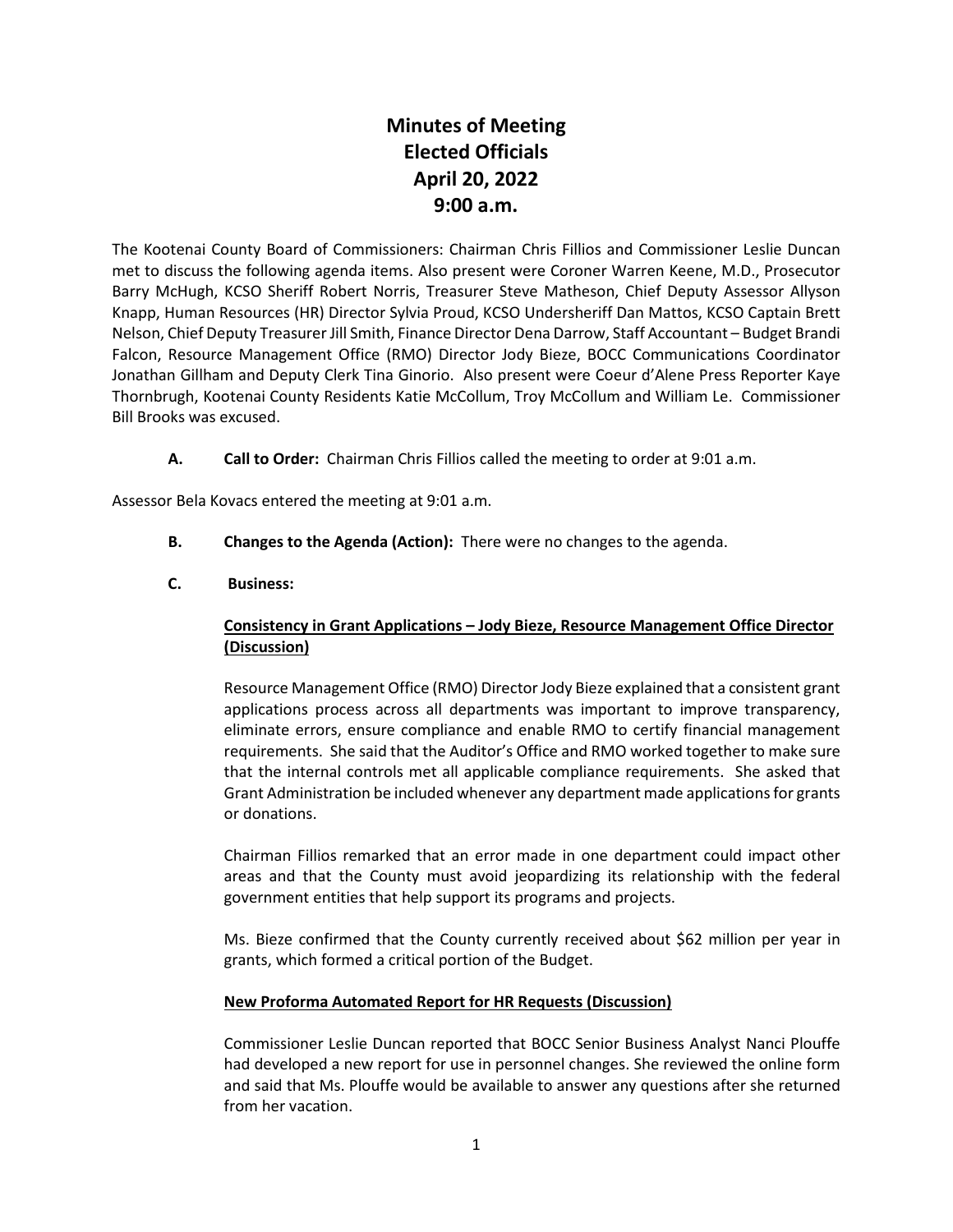# **Minutes of Meeting Elected Officials April 20, 2022 9:00 a.m.**

The Kootenai County Board of Commissioners: Chairman Chris Fillios and Commissioner Leslie Duncan met to discuss the following agenda items. Also present were Coroner Warren Keene, M.D., Prosecutor Barry McHugh, KCSO Sheriff Robert Norris, Treasurer Steve Matheson, Chief Deputy Assessor Allyson Knapp, Human Resources (HR) Director Sylvia Proud, KCSO Undersheriff Dan Mattos, KCSO Captain Brett Nelson, Chief Deputy Treasurer Jill Smith, Finance Director Dena Darrow, Staff Accountant – Budget Brandi Falcon, Resource Management Office (RMO) Director Jody Bieze, BOCC Communications Coordinator Jonathan Gillham and Deputy Clerk Tina Ginorio. Also present were Coeur d'Alene Press Reporter Kaye Thornbrugh, Kootenai County Residents Katie McCollum, Troy McCollum and William Le. Commissioner Bill Brooks was excused.

**A. Call to Order:** Chairman Chris Fillios called the meeting to order at 9:01 a.m.

Assessor Bela Kovacs entered the meeting at 9:01 a.m.

**B. Changes to the Agenda (Action):** There were no changes to the agenda.

### **C. Business:**

## **Consistency in Grant Applications – Jody Bieze, Resource Management Office Director (Discussion)**

Resource Management Office (RMO) Director Jody Bieze explained that a consistent grant applications process across all departments was important to improve transparency, eliminate errors, ensure compliance and enable RMO to certify financial management requirements. She said that the Auditor's Office and RMO worked together to make sure that the internal controls met all applicable compliance requirements. She asked that Grant Administration be included whenever any department made applicationsfor grants or donations.

Chairman Fillios remarked that an error made in one department could impact other areas and that the County must avoid jeopardizing its relationship with the federal government entities that help support its programs and projects.

Ms. Bieze confirmed that the County currently received about \$62 million per year in grants, which formed a critical portion of the Budget.

### **New Proforma Automated Report for HR Requests (Discussion)**

Commissioner Leslie Duncan reported that BOCC Senior Business Analyst Nanci Plouffe had developed a new report for use in personnel changes. She reviewed the online form and said that Ms. Plouffe would be available to answer any questions after she returned from her vacation.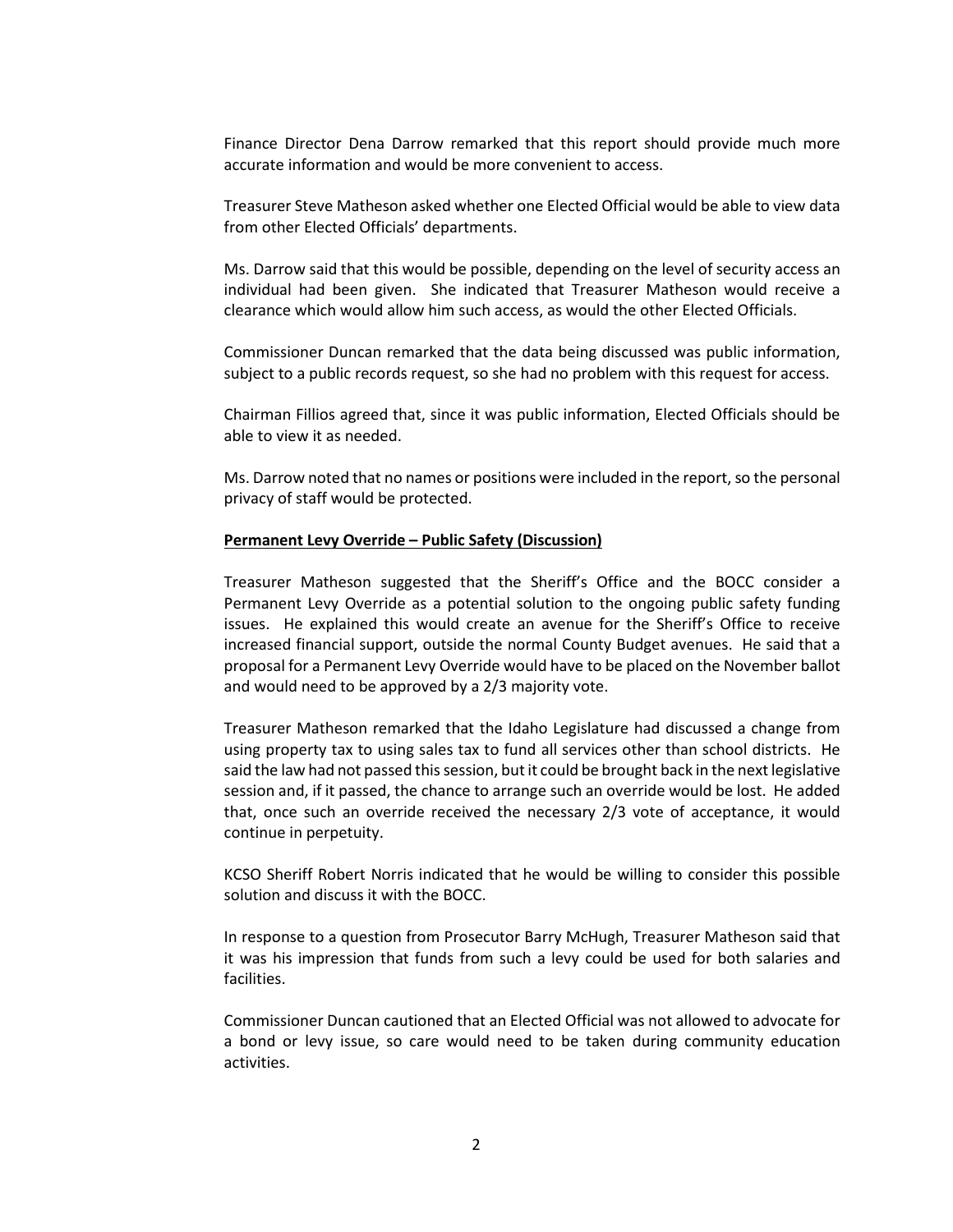Finance Director Dena Darrow remarked that this report should provide much more accurate information and would be more convenient to access.

Treasurer Steve Matheson asked whether one Elected Official would be able to view data from other Elected Officials' departments.

Ms. Darrow said that this would be possible, depending on the level of security access an individual had been given. She indicated that Treasurer Matheson would receive a clearance which would allow him such access, as would the other Elected Officials.

Commissioner Duncan remarked that the data being discussed was public information, subject to a public records request, so she had no problem with this request for access.

Chairman Fillios agreed that, since it was public information, Elected Officials should be able to view it as needed.

Ms. Darrow noted that no names or positions were included in the report, so the personal privacy of staff would be protected.

#### **Permanent Levy Override – Public Safety (Discussion)**

Treasurer Matheson suggested that the Sheriff's Office and the BOCC consider a Permanent Levy Override as a potential solution to the ongoing public safety funding issues. He explained this would create an avenue for the Sheriff's Office to receive increased financial support, outside the normal County Budget avenues. He said that a proposal for a Permanent Levy Override would have to be placed on the November ballot and would need to be approved by a 2/3 majority vote.

Treasurer Matheson remarked that the Idaho Legislature had discussed a change from using property tax to using sales tax to fund all services other than school districts. He said the law had not passed this session, but it could be brought back in the next legislative session and, if it passed, the chance to arrange such an override would be lost. He added that, once such an override received the necessary 2/3 vote of acceptance, it would continue in perpetuity.

KCSO Sheriff Robert Norris indicated that he would be willing to consider this possible solution and discuss it with the BOCC.

In response to a question from Prosecutor Barry McHugh, Treasurer Matheson said that it was his impression that funds from such a levy could be used for both salaries and facilities.

Commissioner Duncan cautioned that an Elected Official was not allowed to advocate for a bond or levy issue, so care would need to be taken during community education activities.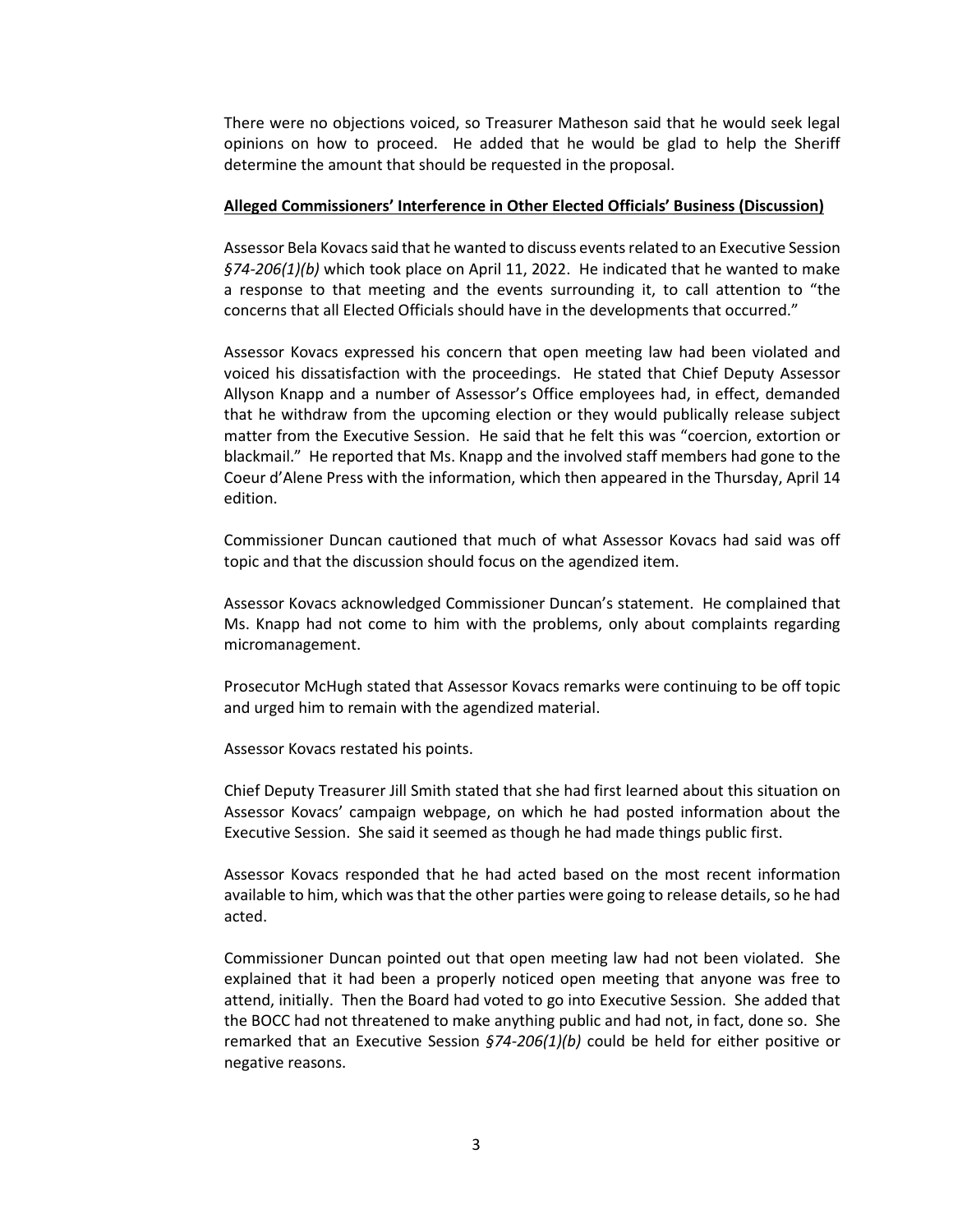There were no objections voiced, so Treasurer Matheson said that he would seek legal opinions on how to proceed. He added that he would be glad to help the Sheriff determine the amount that should be requested in the proposal.

#### **Alleged Commissioners' Interference in Other Elected Officials' Business (Discussion)**

Assessor Bela Kovacs said that he wanted to discuss events related to an Executive Session *§74-206(1)(b)* which took place on April 11, 2022. He indicated that he wanted to make a response to that meeting and the events surrounding it, to call attention to "the concerns that all Elected Officials should have in the developments that occurred."

Assessor Kovacs expressed his concern that open meeting law had been violated and voiced his dissatisfaction with the proceedings. He stated that Chief Deputy Assessor Allyson Knapp and a number of Assessor's Office employees had, in effect, demanded that he withdraw from the upcoming election or they would publically release subject matter from the Executive Session. He said that he felt this was "coercion, extortion or blackmail." He reported that Ms. Knapp and the involved staff members had gone to the Coeur d'Alene Press with the information, which then appeared in the Thursday, April 14 edition.

Commissioner Duncan cautioned that much of what Assessor Kovacs had said was off topic and that the discussion should focus on the agendized item.

Assessor Kovacs acknowledged Commissioner Duncan's statement. He complained that Ms. Knapp had not come to him with the problems, only about complaints regarding micromanagement.

Prosecutor McHugh stated that Assessor Kovacs remarks were continuing to be off topic and urged him to remain with the agendized material.

Assessor Kovacs restated his points.

Chief Deputy Treasurer Jill Smith stated that she had first learned about this situation on Assessor Kovacs' campaign webpage, on which he had posted information about the Executive Session. She said it seemed as though he had made things public first.

Assessor Kovacs responded that he had acted based on the most recent information available to him, which was that the other parties were going to release details, so he had acted.

Commissioner Duncan pointed out that open meeting law had not been violated. She explained that it had been a properly noticed open meeting that anyone was free to attend, initially. Then the Board had voted to go into Executive Session. She added that the BOCC had not threatened to make anything public and had not, in fact, done so. She remarked that an Executive Session *§74-206(1)(b)* could be held for either positive or negative reasons.